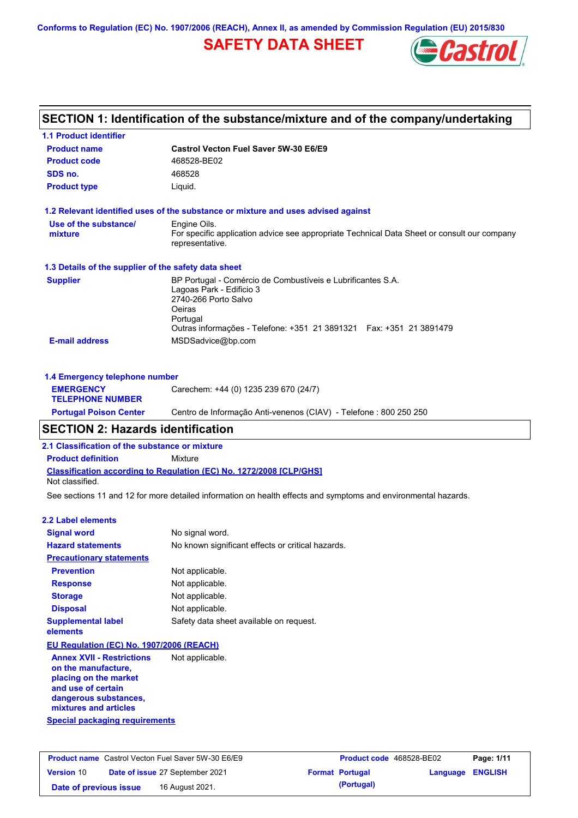**Conforms to Regulation (EC) No. 1907/2006 (REACH), Annex II, as amended by Commission Regulation (EU) 2015/830**

# **SAFETY DATA SHEET**



|                                                      | SECTION 1: Identification of the substance/mixture and of the company/undertaking                                                                                                                             |
|------------------------------------------------------|---------------------------------------------------------------------------------------------------------------------------------------------------------------------------------------------------------------|
| <b>1.1 Product identifier</b>                        |                                                                                                                                                                                                               |
| <b>Product name</b>                                  | Castrol Vecton Fuel Saver 5W-30 E6/E9                                                                                                                                                                         |
| <b>Product code</b>                                  | 468528-BE02                                                                                                                                                                                                   |
| SDS no.                                              | 468528                                                                                                                                                                                                        |
| <b>Product type</b>                                  | Liguid.                                                                                                                                                                                                       |
|                                                      | 1.2 Relevant identified uses of the substance or mixture and uses advised against                                                                                                                             |
| Use of the substance/<br>mixture                     | Engine Oils.<br>For specific application advice see appropriate Technical Data Sheet or consult our company<br>representative.                                                                                |
| 1.3 Details of the supplier of the safety data sheet |                                                                                                                                                                                                               |
| <b>Supplier</b>                                      | BP Portugal - Comércio de Combustíveis e Lubrificantes S.A.<br>Lagoas Park - Edificio 3<br>2740-266 Porto Salvo<br>Oeiras<br>Portugal<br>Outras informações - Telefone: +351 21 3891321  Fax: +351 21 3891479 |
| <b>E-mail address</b>                                | MSDSadvice@bp.com                                                                                                                                                                                             |
| 1.4 Emergency telephone number                       |                                                                                                                                                                                                               |
| <b>EMERGENCY</b><br><b>TELEPHONE NUMBER</b>          | Carechem: +44 (0) 1235 239 670 (24/7)                                                                                                                                                                         |
| <b>Portugal Poison Center</b>                        | Centro de Informação Anti-venenos (CIAV) - Telefone : 800 250 250                                                                                                                                             |

# **SECTION 2: Hazards identification**

**2.1 Classification of the substance or mixture**

**Classification according to Regulation (EC) No. 1272/2008 [CLP/GHS] Product definition** Mixture Not classified.

See sections 11 and 12 for more detailed information on health effects and symptoms and environmental hazards.

#### **2.2 Label elements**

| <b>Signal word</b>                       | No signal word.                                   |
|------------------------------------------|---------------------------------------------------|
| <b>Hazard statements</b>                 | No known significant effects or critical hazards. |
| <b>Precautionary statements</b>          |                                                   |
| <b>Prevention</b>                        | Not applicable.                                   |
| <b>Response</b>                          | Not applicable.                                   |
| <b>Storage</b>                           | Not applicable.                                   |
| <b>Disposal</b>                          | Not applicable.                                   |
| <b>Supplemental label</b><br>elements    | Safety data sheet available on request.           |
| EU Regulation (EC) No. 1907/2006 (REACH) |                                                   |
| <b>Annex XVII - Restrictions</b>         | Not annlicable                                    |

**Special packaging requirements Annex XVII - Restrictions on the manufacture, placing on the market and use of certain dangerous substances, mixtures and articles** Not applicable.

|                        | <b>Product name</b> Castrol Vecton Fuel Saver 5W-30 E6/E9 | <b>Product code</b> 468528-BE02 |                         | Page: 1/11 |
|------------------------|-----------------------------------------------------------|---------------------------------|-------------------------|------------|
| <b>Version 10</b>      | Date of issue 27 September 2021                           | <b>Format Portugal</b>          | <b>Language ENGLISH</b> |            |
| Date of previous issue | 16 August 2021.                                           | (Portugal)                      |                         |            |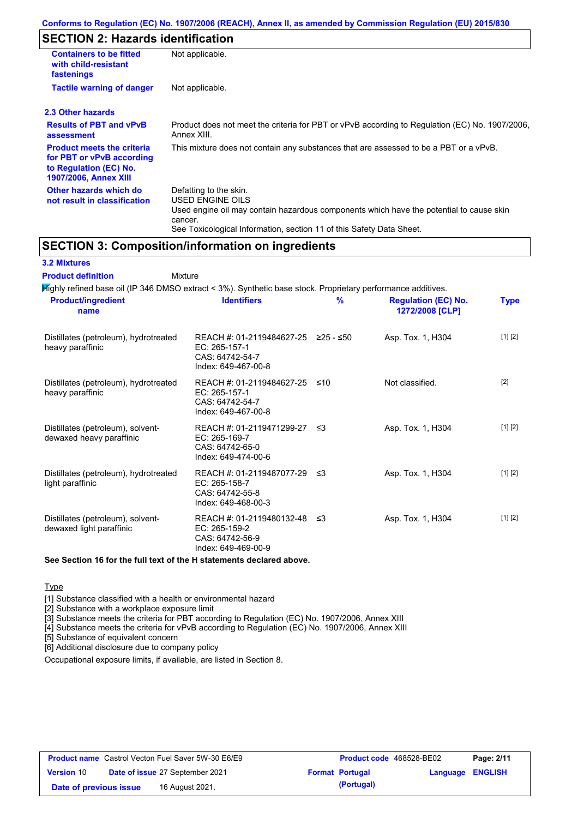# **SECTION 2: Hazards identification**

| Not applicable.                                                                                                                                  |
|--------------------------------------------------------------------------------------------------------------------------------------------------|
| Not applicable.                                                                                                                                  |
|                                                                                                                                                  |
| Product does not meet the criteria for PBT or vPvB according to Regulation (EC) No. 1907/2006.<br>Annex XIII.                                    |
| This mixture does not contain any substances that are assessed to be a PBT or a vPvB.                                                            |
| Defatting to the skin.<br>USED ENGINE OILS<br>Used engine oil may contain hazardous components which have the potential to cause skin<br>cancer. |
|                                                                                                                                                  |

See Toxicological Information, section 11 of this Safety Data Sheet.

# **SECTION 3: Composition/information on ingredients**

| <b>3.2 Mixtures</b>                                                                                          |                                                                                                |     |                                               |             |
|--------------------------------------------------------------------------------------------------------------|------------------------------------------------------------------------------------------------|-----|-----------------------------------------------|-------------|
| <b>Product definition</b>                                                                                    | Mixture                                                                                        |     |                                               |             |
| Mighly refined base oil (IP 346 DMSO extract < 3%). Synthetic base stock. Proprietary performance additives. |                                                                                                |     |                                               |             |
| <b>Product/ingredient</b><br>name                                                                            | <b>Identifiers</b>                                                                             | %   | <b>Regulation (EC) No.</b><br>1272/2008 [CLP] | <b>Type</b> |
| Distillates (petroleum), hydrotreated<br>heavy paraffinic                                                    | REACH #: 01-2119484627-25 ≥25 - ≤50<br>EC: 265-157-1<br>CAS: 64742-54-7<br>Index: 649-467-00-8 |     | Asp. Tox. 1, H304                             | [1] [2]     |
| Distillates (petroleum), hydrotreated<br>heavy paraffinic                                                    | REACH #: 01-2119484627-25<br>EC: 265-157-1<br>CAS: 64742-54-7<br>Index: 649-467-00-8           | ≤10 | Not classified.                               | $[2]$       |
| Distillates (petroleum), solvent-<br>dewaxed heavy paraffinic                                                | REACH #: 01-2119471299-27<br>EC: 265-169-7<br>CAS: 64742-65-0<br>Index: 649-474-00-6           | -≤3 | Asp. Tox. 1, H304                             | [1] [2]     |
| Distillates (petroleum), hydrotreated<br>light paraffinic                                                    | REACH #: 01-2119487077-29<br>EC: 265-158-7<br>CAS: 64742-55-8<br>Index: 649-468-00-3           | -≤3 | Asp. Tox. 1, H304                             | [1] [2]     |
| Distillates (petroleum), solvent-<br>dewaxed light paraffinic                                                | REACH #: 01-2119480132-48 ≤3<br>EC: 265-159-2<br>CAS: 64742-56-9<br>Index: 649-469-00-9        |     | Asp. Tox. 1, H304                             | [1] [2]     |

**See Section 16 for the full text of the H statements declared above.**

Type

[1] Substance classified with a health or environmental hazard

[2] Substance with a workplace exposure limit

[3] Substance meets the criteria for PBT according to Regulation (EC) No. 1907/2006, Annex XIII

[4] Substance meets the criteria for vPvB according to Regulation (EC) No. 1907/2006, Annex XIII

[5] Substance of equivalent concern

[6] Additional disclosure due to company policy

Occupational exposure limits, if available, are listed in Section 8.

|                        | <b>Product name</b> Castrol Vecton Fuel Saver 5W-30 E6/E9 | <b>Product code</b> 468528-BE02 |                         | Page: 2/11 |
|------------------------|-----------------------------------------------------------|---------------------------------|-------------------------|------------|
| <b>Version 10</b>      | Date of issue 27 September 2021                           | <b>Format Portugal</b>          | <b>Language ENGLISH</b> |            |
| Date of previous issue | 16 August 2021.                                           | (Portugal)                      |                         |            |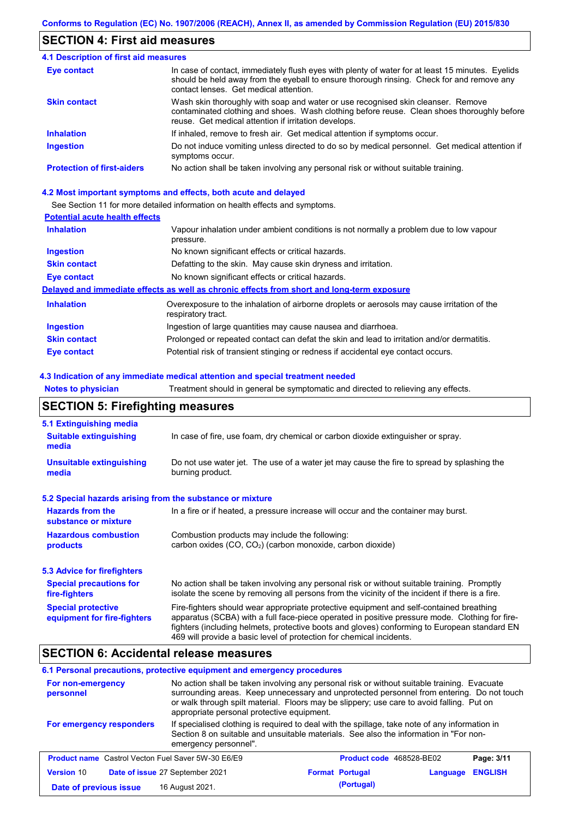## **SECTION 4: First aid measures**

#### Do not induce vomiting unless directed to do so by medical personnel. Get medical attention if symptoms occur. In case of contact, immediately flush eyes with plenty of water for at least 15 minutes. Eyelids should be held away from the eyeball to ensure thorough rinsing. Check for and remove any contact lenses. Get medical attention. **4.1 Description of first aid measures** If inhaled, remove to fresh air. Get medical attention if symptoms occur. **Ingestion Inhalation Eye contact Protection of first-aiders** No action shall be taken involving any personal risk or without suitable training. **Skin contact** Wash skin thoroughly with soap and water or use recognised skin cleanser. Remove contaminated clothing and shoes. Wash clothing before reuse. Clean shoes thoroughly before reuse. Get medical attention if irritation develops.

#### **4.2 Most important symptoms and effects, both acute and delayed**

See Section 11 for more detailed information on health effects and symptoms.

#### **Potential acute health effects**

| <b>Inhalation</b>   | Vapour inhalation under ambient conditions is not normally a problem due to low vapour                            |
|---------------------|-------------------------------------------------------------------------------------------------------------------|
|                     | pressure.                                                                                                         |
| <b>Ingestion</b>    | No known significant effects or critical hazards.                                                                 |
| <b>Skin contact</b> | Defatting to the skin. May cause skin dryness and irritation.                                                     |
| Eye contact         | No known significant effects or critical hazards.                                                                 |
|                     | Delayed and immediate effects as well as chronic effects from short and long-term exposure                        |
| <b>Inhalation</b>   | Overexposure to the inhalation of airborne droplets or aerosols may cause irritation of the<br>respiratory tract. |
| <b>Ingestion</b>    | Ingestion of large quantities may cause nausea and diarrhoea.                                                     |
| <b>Skin contact</b> | Prolonged or repeated contact can defat the skin and lead to irritation and/or dermatitis.                        |
| Eye contact         | Potential risk of transient stinging or redness if accidental eye contact occurs.                                 |

#### **4.3 Indication of any immediate medical attention and special treatment needed**

**Notes to physician** Treatment should in general be symptomatic and directed to relieving any effects.

## **SECTION 5: Firefighting measures**

| 5.1 Extinguishing media                                   |                                                                                                                                                                                                                                                                                                                                                                   |
|-----------------------------------------------------------|-------------------------------------------------------------------------------------------------------------------------------------------------------------------------------------------------------------------------------------------------------------------------------------------------------------------------------------------------------------------|
| <b>Suitable extinguishing</b><br>media                    | In case of fire, use foam, dry chemical or carbon dioxide extinguisher or spray.                                                                                                                                                                                                                                                                                  |
| <b>Unsuitable extinguishing</b><br>media                  | Do not use water jet. The use of a water jet may cause the fire to spread by splashing the<br>burning product.                                                                                                                                                                                                                                                    |
| 5.2 Special hazards arising from the substance or mixture |                                                                                                                                                                                                                                                                                                                                                                   |
| <b>Hazards from the</b><br>substance or mixture           | In a fire or if heated, a pressure increase will occur and the container may burst.                                                                                                                                                                                                                                                                               |
| <b>Hazardous combustion</b><br>products                   | Combustion products may include the following:<br>carbon oxides $(CO, CO2)$ (carbon monoxide, carbon dioxide)                                                                                                                                                                                                                                                     |
| 5.3 Advice for firefighters                               |                                                                                                                                                                                                                                                                                                                                                                   |
| <b>Special precautions for</b><br>fire-fighters           | No action shall be taken involving any personal risk or without suitable training. Promptly<br>isolate the scene by removing all persons from the vicinity of the incident if there is a fire.                                                                                                                                                                    |
| <b>Special protective</b><br>equipment for fire-fighters  | Fire-fighters should wear appropriate protective equipment and self-contained breathing<br>apparatus (SCBA) with a full face-piece operated in positive pressure mode. Clothing for fire-<br>fighters (including helmets, protective boots and gloves) conforming to European standard EN<br>469 will provide a basic level of protection for chemical incidents. |

## **SECTION 6: Accidental release measures**

#### **6.1 Personal precautions, protective equipment and emergency procedures**

| For non-emergency<br>personnel                            | No action shall be taken involving any personal risk or without suitable training. Evacuate<br>surrounding areas. Keep unnecessary and unprotected personnel from entering. Do not touch<br>or walk through spilt material. Floors may be slippery; use care to avoid falling. Put on<br>appropriate personal protective equipment. |                        |                          |                |
|-----------------------------------------------------------|-------------------------------------------------------------------------------------------------------------------------------------------------------------------------------------------------------------------------------------------------------------------------------------------------------------------------------------|------------------------|--------------------------|----------------|
| For emergency responders                                  | If specialised clothing is required to deal with the spillage, take note of any information in<br>Section 8 on suitable and unsuitable materials. See also the information in "For non-<br>emergency personnel".                                                                                                                    |                        |                          |                |
| <b>Product name</b> Castrol Vecton Fuel Saver 5W-30 E6/E9 |                                                                                                                                                                                                                                                                                                                                     |                        | Product code 468528-BE02 | Page: 3/11     |
| <b>Version 10</b>                                         | Date of issue 27 September 2021                                                                                                                                                                                                                                                                                                     | <b>Format Portugal</b> | Language                 | <b>ENGLISH</b> |
| Date of previous issue                                    | 16 August 2021.                                                                                                                                                                                                                                                                                                                     | (Portugal)             |                          |                |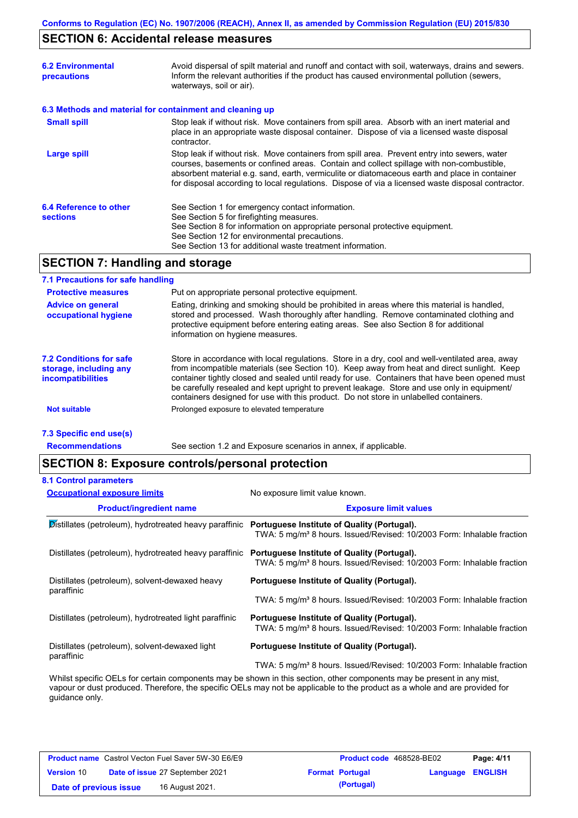# **SECTION 6: Accidental release measures**

| <b>6.2 Environmental</b><br>precautions                  | Avoid dispersal of spilt material and runoff and contact with soil, waterways, drains and sewers.<br>Inform the relevant authorities if the product has caused environmental pollution (sewers,<br>waterways, soil or air).                                                                                                                                                                    |
|----------------------------------------------------------|------------------------------------------------------------------------------------------------------------------------------------------------------------------------------------------------------------------------------------------------------------------------------------------------------------------------------------------------------------------------------------------------|
| 6.3 Methods and material for containment and cleaning up |                                                                                                                                                                                                                                                                                                                                                                                                |
| <b>Small spill</b>                                       | Stop leak if without risk. Move containers from spill area. Absorb with an inert material and<br>place in an appropriate waste disposal container. Dispose of via a licensed waste disposal<br>contractor.                                                                                                                                                                                     |
| Large spill                                              | Stop leak if without risk. Move containers from spill area. Prevent entry into sewers, water<br>courses, basements or confined areas. Contain and collect spillage with non-combustible,<br>absorbent material e.g. sand, earth, vermiculite or diatomaceous earth and place in container<br>for disposal according to local regulations. Dispose of via a licensed waste disposal contractor. |
| 6.4 Reference to other<br><b>sections</b>                | See Section 1 for emergency contact information.<br>See Section 5 for firefighting measures.<br>See Section 8 for information on appropriate personal protective equipment.<br>See Section 12 for environmental precautions.<br>See Section 13 for additional waste treatment information.                                                                                                     |

# **SECTION 7: Handling and storage**

#### **7.1 Precautions for safe handling**

| <b>Protective measures</b>                                                           | Put on appropriate personal protective equipment.                                                                                                                                                                                                                                                                                                                                                                                                                                        |
|--------------------------------------------------------------------------------------|------------------------------------------------------------------------------------------------------------------------------------------------------------------------------------------------------------------------------------------------------------------------------------------------------------------------------------------------------------------------------------------------------------------------------------------------------------------------------------------|
| <b>Advice on general</b><br>occupational hygiene                                     | Eating, drinking and smoking should be prohibited in areas where this material is handled,<br>stored and processed. Wash thoroughly after handling. Remove contaminated clothing and<br>protective equipment before entering eating areas. See also Section 8 for additional<br>information on hygiene measures.                                                                                                                                                                         |
| <b>7.2 Conditions for safe</b><br>storage, including any<br><b>incompatibilities</b> | Store in accordance with local regulations. Store in a dry, cool and well-ventilated area, away<br>from incompatible materials (see Section 10). Keep away from heat and direct sunlight. Keep<br>container tightly closed and sealed until ready for use. Containers that have been opened must<br>be carefully resealed and kept upright to prevent leakage. Store and use only in equipment/<br>containers designed for use with this product. Do not store in unlabelled containers. |
| <b>Not suitable</b>                                                                  | Prolonged exposure to elevated temperature                                                                                                                                                                                                                                                                                                                                                                                                                                               |
|                                                                                      |                                                                                                                                                                                                                                                                                                                                                                                                                                                                                          |

#### **7.3 Specific end use(s)**

**Recommendations**

See section 1.2 and Exposure scenarios in annex, if applicable.

# **SECTION 8: Exposure controls/personal protection**

| <b>Occupational exposure limits</b>                          | No exposure limit value known.                                                                                                    |
|--------------------------------------------------------------|-----------------------------------------------------------------------------------------------------------------------------------|
| <b>Product/ingredient name</b>                               | <b>Exposure limit values</b>                                                                                                      |
| Distillates (petroleum), hydrotreated heavy paraffinic       | Portuguese Institute of Quality (Portugal).<br>TWA: 5 mg/m <sup>3</sup> 8 hours. Issued/Revised: 10/2003 Form: Inhalable fraction |
| Distillates (petroleum), hydrotreated heavy paraffinic       | Portuguese Institute of Quality (Portugal).<br>TWA: 5 mg/m <sup>3</sup> 8 hours. Issued/Revised: 10/2003 Form: Inhalable fraction |
| Distillates (petroleum), solvent-dewaxed heavy               | Portuguese Institute of Quality (Portugal).                                                                                       |
| paraffinic                                                   | TWA: 5 mg/m <sup>3</sup> 8 hours. Issued/Revised: 10/2003 Form: Inhalable fraction                                                |
| Distillates (petroleum), hydrotreated light paraffinic       | Portuguese Institute of Quality (Portugal).<br>TWA: 5 mg/m <sup>3</sup> 8 hours. Issued/Revised: 10/2003 Form: Inhalable fraction |
| Distillates (petroleum), solvent-dewaxed light<br>paraffinic | Portuguese Institute of Quality (Portugal).                                                                                       |
|                                                              | TWA: 5 mg/m <sup>3</sup> 8 hours. Issued/Revised: 10/2003 Form: Inhalable fraction                                                |

Whilst specific OELs for certain components may be shown in this section, other components may be present in any mist, vapour or dust produced. Therefore, the specific OELs may not be applicable to the product as a whole and are provided for guidance only.

|                        | <b>Product name</b> Castrol Vecton Fuel Saver 5W-30 E6/E9 | Product code 468528-BE02 |                  | Page: 4/11 |
|------------------------|-----------------------------------------------------------|--------------------------|------------------|------------|
| <b>Version 10</b>      | <b>Date of issue 27 September 2021</b>                    | <b>Format Portugal</b>   | Language ENGLISH |            |
| Date of previous issue | 16 August 2021.                                           | (Portugal)               |                  |            |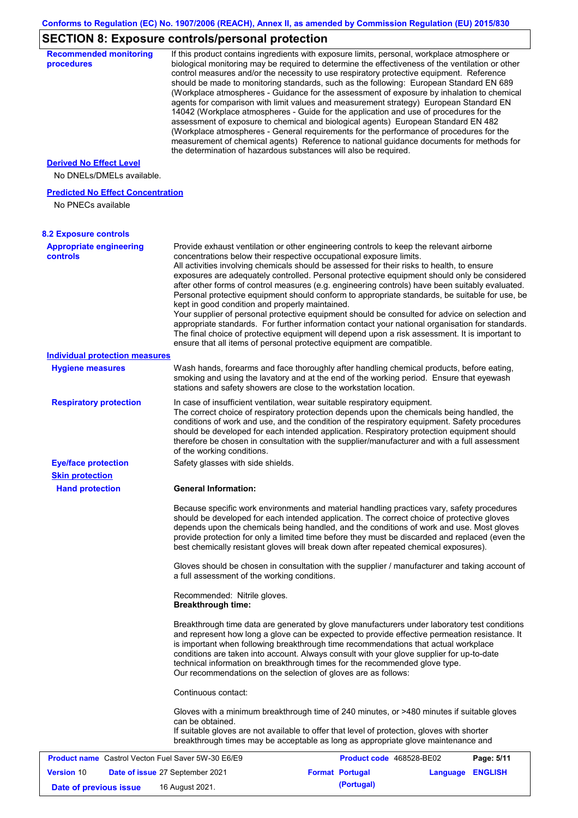# **SECTION 8: Exposure controls/personal protection**

| <b>Recommended monitoring</b><br>procedures                    | If this product contains ingredients with exposure limits, personal, workplace atmosphere or<br>biological monitoring may be required to determine the effectiveness of the ventilation or other<br>control measures and/or the necessity to use respiratory protective equipment. Reference<br>should be made to monitoring standards, such as the following: European Standard EN 689<br>(Workplace atmospheres - Guidance for the assessment of exposure by inhalation to chemical<br>agents for comparison with limit values and measurement strategy) European Standard EN<br>14042 (Workplace atmospheres - Guide for the application and use of procedures for the<br>assessment of exposure to chemical and biological agents) European Standard EN 482<br>(Workplace atmospheres - General requirements for the performance of procedures for the<br>measurement of chemical agents) Reference to national guidance documents for methods for<br>the determination of hazardous substances will also be required. |                          |                         |            |
|----------------------------------------------------------------|----------------------------------------------------------------------------------------------------------------------------------------------------------------------------------------------------------------------------------------------------------------------------------------------------------------------------------------------------------------------------------------------------------------------------------------------------------------------------------------------------------------------------------------------------------------------------------------------------------------------------------------------------------------------------------------------------------------------------------------------------------------------------------------------------------------------------------------------------------------------------------------------------------------------------------------------------------------------------------------------------------------------------|--------------------------|-------------------------|------------|
| <b>Derived No Effect Level</b><br>No DNELs/DMELs available.    |                                                                                                                                                                                                                                                                                                                                                                                                                                                                                                                                                                                                                                                                                                                                                                                                                                                                                                                                                                                                                            |                          |                         |            |
| <b>Predicted No Effect Concentration</b><br>No PNECs available |                                                                                                                                                                                                                                                                                                                                                                                                                                                                                                                                                                                                                                                                                                                                                                                                                                                                                                                                                                                                                            |                          |                         |            |
| <b>8.2 Exposure controls</b>                                   |                                                                                                                                                                                                                                                                                                                                                                                                                                                                                                                                                                                                                                                                                                                                                                                                                                                                                                                                                                                                                            |                          |                         |            |
| <b>Appropriate engineering</b><br>controls                     | Provide exhaust ventilation or other engineering controls to keep the relevant airborne<br>concentrations below their respective occupational exposure limits.<br>All activities involving chemicals should be assessed for their risks to health, to ensure<br>exposures are adequately controlled. Personal protective equipment should only be considered<br>after other forms of control measures (e.g. engineering controls) have been suitably evaluated.<br>Personal protective equipment should conform to appropriate standards, be suitable for use, be<br>kept in good condition and properly maintained.<br>Your supplier of personal protective equipment should be consulted for advice on selection and<br>appropriate standards. For further information contact your national organisation for standards.<br>The final choice of protective equipment will depend upon a risk assessment. It is important to<br>ensure that all items of personal protective equipment are compatible.                    |                          |                         |            |
| <b>Individual protection measures</b>                          |                                                                                                                                                                                                                                                                                                                                                                                                                                                                                                                                                                                                                                                                                                                                                                                                                                                                                                                                                                                                                            |                          |                         |            |
| <b>Hygiene measures</b>                                        | Wash hands, forearms and face thoroughly after handling chemical products, before eating,<br>smoking and using the lavatory and at the end of the working period. Ensure that eyewash<br>stations and safety showers are close to the workstation location.                                                                                                                                                                                                                                                                                                                                                                                                                                                                                                                                                                                                                                                                                                                                                                |                          |                         |            |
| <b>Respiratory protection</b>                                  | In case of insufficient ventilation, wear suitable respiratory equipment.<br>The correct choice of respiratory protection depends upon the chemicals being handled, the<br>conditions of work and use, and the condition of the respiratory equipment. Safety procedures<br>should be developed for each intended application. Respiratory protection equipment should<br>therefore be chosen in consultation with the supplier/manufacturer and with a full assessment<br>of the working conditions.                                                                                                                                                                                                                                                                                                                                                                                                                                                                                                                      |                          |                         |            |
| <b>Eye/face protection</b><br><b>Skin protection</b>           | Safety glasses with side shields.                                                                                                                                                                                                                                                                                                                                                                                                                                                                                                                                                                                                                                                                                                                                                                                                                                                                                                                                                                                          |                          |                         |            |
| <b>Hand protection</b>                                         | <b>General Information:</b>                                                                                                                                                                                                                                                                                                                                                                                                                                                                                                                                                                                                                                                                                                                                                                                                                                                                                                                                                                                                |                          |                         |            |
|                                                                | Because specific work environments and material handling practices vary, safety procedures<br>should be developed for each intended application. The correct choice of protective gloves<br>depends upon the chemicals being handled, and the conditions of work and use. Most gloves<br>provide protection for only a limited time before they must be discarded and replaced (even the<br>best chemically resistant gloves will break down after repeated chemical exposures).                                                                                                                                                                                                                                                                                                                                                                                                                                                                                                                                           |                          |                         |            |
|                                                                | Gloves should be chosen in consultation with the supplier / manufacturer and taking account of<br>a full assessment of the working conditions.                                                                                                                                                                                                                                                                                                                                                                                                                                                                                                                                                                                                                                                                                                                                                                                                                                                                             |                          |                         |            |
|                                                                | Recommended: Nitrile gloves.<br><b>Breakthrough time:</b>                                                                                                                                                                                                                                                                                                                                                                                                                                                                                                                                                                                                                                                                                                                                                                                                                                                                                                                                                                  |                          |                         |            |
|                                                                | Breakthrough time data are generated by glove manufacturers under laboratory test conditions<br>and represent how long a glove can be expected to provide effective permeation resistance. It<br>is important when following breakthrough time recommendations that actual workplace<br>conditions are taken into account. Always consult with your glove supplier for up-to-date<br>technical information on breakthrough times for the recommended glove type.<br>Our recommendations on the selection of gloves are as follows:                                                                                                                                                                                                                                                                                                                                                                                                                                                                                         |                          |                         |            |
|                                                                | Continuous contact:                                                                                                                                                                                                                                                                                                                                                                                                                                                                                                                                                                                                                                                                                                                                                                                                                                                                                                                                                                                                        |                          |                         |            |
|                                                                | Gloves with a minimum breakthrough time of 240 minutes, or >480 minutes if suitable gloves<br>can be obtained.<br>If suitable gloves are not available to offer that level of protection, gloves with shorter<br>breakthrough times may be acceptable as long as appropriate glove maintenance and                                                                                                                                                                                                                                                                                                                                                                                                                                                                                                                                                                                                                                                                                                                         |                          |                         |            |
| <b>Product name</b> Castrol Vecton Fuel Saver 5W-30 E6/E9      |                                                                                                                                                                                                                                                                                                                                                                                                                                                                                                                                                                                                                                                                                                                                                                                                                                                                                                                                                                                                                            | Product code 468528-BE02 |                         | Page: 5/11 |
| <b>Version 10</b>                                              | Date of issue 27 September 2021                                                                                                                                                                                                                                                                                                                                                                                                                                                                                                                                                                                                                                                                                                                                                                                                                                                                                                                                                                                            | <b>Format Portugal</b>   | <b>Language ENGLISH</b> |            |
| Date of previous issue                                         | 16 August 2021.                                                                                                                                                                                                                                                                                                                                                                                                                                                                                                                                                                                                                                                                                                                                                                                                                                                                                                                                                                                                            | (Portugal)               |                         |            |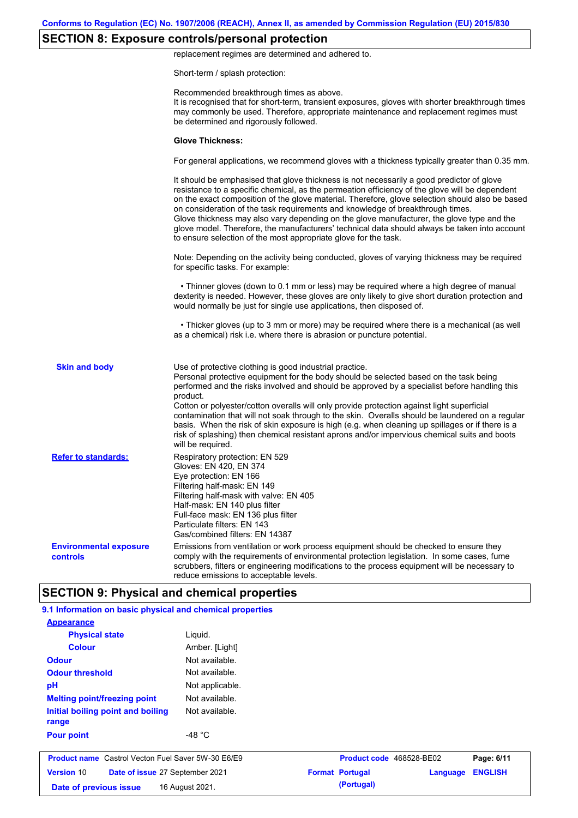# **SECTION 8: Exposure controls/personal protection**

replacement regimes are determined and adhered to.

Short-term / splash protection:

|                                           | Recommended breakthrough times as above.<br>It is recognised that for short-term, transient exposures, gloves with shorter breakthrough times<br>may commonly be used. Therefore, appropriate maintenance and replacement regimes must<br>be determined and rigorously followed.                                                                                                                                                                                                                                                                                                                                                                                                      |
|-------------------------------------------|---------------------------------------------------------------------------------------------------------------------------------------------------------------------------------------------------------------------------------------------------------------------------------------------------------------------------------------------------------------------------------------------------------------------------------------------------------------------------------------------------------------------------------------------------------------------------------------------------------------------------------------------------------------------------------------|
|                                           | <b>Glove Thickness:</b>                                                                                                                                                                                                                                                                                                                                                                                                                                                                                                                                                                                                                                                               |
|                                           | For general applications, we recommend gloves with a thickness typically greater than 0.35 mm.                                                                                                                                                                                                                                                                                                                                                                                                                                                                                                                                                                                        |
|                                           | It should be emphasised that glove thickness is not necessarily a good predictor of glove<br>resistance to a specific chemical, as the permeation efficiency of the glove will be dependent<br>on the exact composition of the glove material. Therefore, glove selection should also be based<br>on consideration of the task requirements and knowledge of breakthrough times.<br>Glove thickness may also vary depending on the glove manufacturer, the glove type and the<br>glove model. Therefore, the manufacturers' technical data should always be taken into account<br>to ensure selection of the most appropriate glove for the task.                                     |
|                                           | Note: Depending on the activity being conducted, gloves of varying thickness may be required<br>for specific tasks. For example:                                                                                                                                                                                                                                                                                                                                                                                                                                                                                                                                                      |
|                                           | • Thinner gloves (down to 0.1 mm or less) may be required where a high degree of manual<br>dexterity is needed. However, these gloves are only likely to give short duration protection and<br>would normally be just for single use applications, then disposed of.                                                                                                                                                                                                                                                                                                                                                                                                                  |
|                                           | • Thicker gloves (up to 3 mm or more) may be required where there is a mechanical (as well<br>as a chemical) risk i.e. where there is abrasion or puncture potential.                                                                                                                                                                                                                                                                                                                                                                                                                                                                                                                 |
| <b>Skin and body</b>                      | Use of protective clothing is good industrial practice.<br>Personal protective equipment for the body should be selected based on the task being<br>performed and the risks involved and should be approved by a specialist before handling this<br>product.<br>Cotton or polyester/cotton overalls will only provide protection against light superficial<br>contamination that will not soak through to the skin. Overalls should be laundered on a regular<br>basis. When the risk of skin exposure is high (e.g. when cleaning up spillages or if there is a<br>risk of splashing) then chemical resistant aprons and/or impervious chemical suits and boots<br>will be required. |
| <b>Refer to standards:</b>                | Respiratory protection: EN 529<br>Gloves: EN 420, EN 374<br>Eye protection: EN 166<br>Filtering half-mask: EN 149<br>Filtering half-mask with valve: EN 405<br>Half-mask: EN 140 plus filter<br>Full-face mask: EN 136 plus filter<br>Particulate filters: EN 143<br>Gas/combined filters: EN 14387                                                                                                                                                                                                                                                                                                                                                                                   |
| <b>Environmental exposure</b><br>controls | Emissions from ventilation or work process equipment should be checked to ensure they<br>comply with the requirements of environmental protection legislation. In some cases, fume<br>scrubbers, filters or engineering modifications to the process equipment will be necessary to<br>reduce emissions to acceptable levels.                                                                                                                                                                                                                                                                                                                                                         |
|                                           | <b>SECTION 9: Physical and chemical properties</b>                                                                                                                                                                                                                                                                                                                                                                                                                                                                                                                                                                                                                                    |

| <b>Appearance</b>                                         |                  |                          |          |                |
|-----------------------------------------------------------|------------------|--------------------------|----------|----------------|
| <b>Physical state</b>                                     | Liquid.          |                          |          |                |
| <b>Colour</b>                                             | Amber. [Light]   |                          |          |                |
| <b>Odour</b>                                              | Not available.   |                          |          |                |
| <b>Odour threshold</b>                                    | Not available.   |                          |          |                |
| pH                                                        | Not applicable.  |                          |          |                |
| <b>Melting point/freezing point</b>                       | Not available.   |                          |          |                |
| Initial boiling point and boiling<br>range                | Not available.   |                          |          |                |
| <b>Pour point</b>                                         | -48 $^{\circ}$ C |                          |          |                |
| <b>Product name</b> Castrol Vecton Fuel Saver 5W-30 E6/E9 |                  | Product code 468528-BE02 |          | Page: 6/11     |
| <b>Version 10</b><br>Date of issue 27 September 2021      |                  | <b>Format Portugal</b>   | Language | <b>ENGLISH</b> |
| Date of previous issue<br>16 August 2021.                 |                  | (Portugal)               |          |                |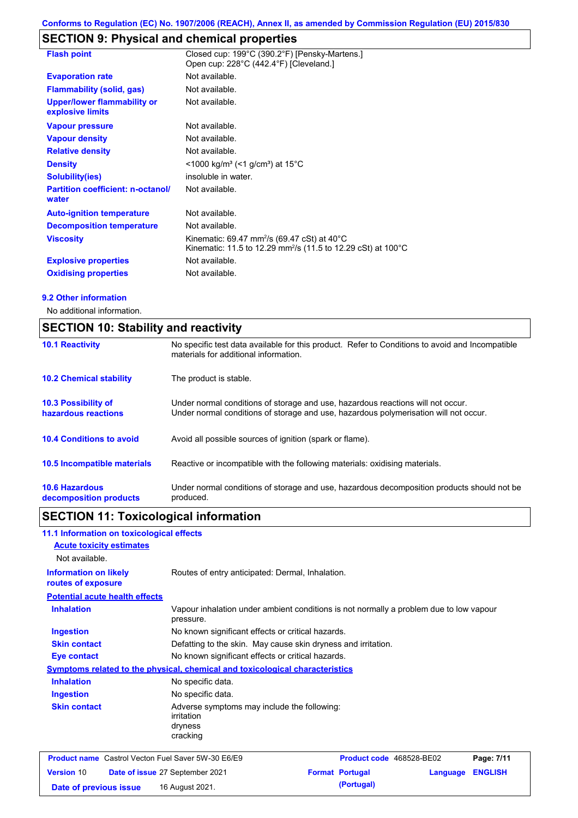# **SECTION 9: Physical and chemical properties**

| <b>Flash point</b>                                     | Closed cup: 199°C (390.2°F) [Pensky-Martens.]<br>Open cup: 228°C (442.4°F) [Cleveland.]                                                                     |
|--------------------------------------------------------|-------------------------------------------------------------------------------------------------------------------------------------------------------------|
| <b>Evaporation rate</b>                                | Not available.                                                                                                                                              |
| <b>Flammability (solid, gas)</b>                       | Not available.                                                                                                                                              |
| <b>Upper/lower flammability or</b><br>explosive limits | Not available.                                                                                                                                              |
| <b>Vapour pressure</b>                                 | Not available.                                                                                                                                              |
| <b>Vapour density</b>                                  | Not available.                                                                                                                                              |
| <b>Relative density</b>                                | Not available.                                                                                                                                              |
| <b>Density</b>                                         | <1000 kg/m <sup>3</sup> (<1 g/cm <sup>3</sup> ) at 15 <sup>°</sup> C                                                                                        |
| Solubility(ies)                                        | insoluble in water.                                                                                                                                         |
| <b>Partition coefficient: n-octanol/</b><br>water      | Not available.                                                                                                                                              |
| <b>Auto-ignition temperature</b>                       | Not available.                                                                                                                                              |
| <b>Decomposition temperature</b>                       | Not available.                                                                                                                                              |
| <b>Viscosity</b>                                       | Kinematic: 69.47 mm <sup>2</sup> /s (69.47 cSt) at 40 $^{\circ}$ C<br>Kinematic: 11.5 to 12.29 mm <sup>2</sup> /s (11.5 to 12.29 cSt) at 100 <sup>°</sup> C |
| <b>Explosive properties</b>                            | Not available.                                                                                                                                              |
| <b>Oxidising properties</b>                            | Not available.                                                                                                                                              |

#### **9.2 Other information**

No additional information.

| <b>SECTION 10: Stability and reactivity</b>     |                                                                                                                                                                         |  |  |
|-------------------------------------------------|-------------------------------------------------------------------------------------------------------------------------------------------------------------------------|--|--|
| <b>10.1 Reactivity</b>                          | No specific test data available for this product. Refer to Conditions to avoid and Incompatible<br>materials for additional information.                                |  |  |
| <b>10.2 Chemical stability</b>                  | The product is stable.                                                                                                                                                  |  |  |
| 10.3 Possibility of<br>hazardous reactions      | Under normal conditions of storage and use, hazardous reactions will not occur.<br>Under normal conditions of storage and use, hazardous polymerisation will not occur. |  |  |
| <b>10.4 Conditions to avoid</b>                 | Avoid all possible sources of ignition (spark or flame).                                                                                                                |  |  |
| 10.5 Incompatible materials                     | Reactive or incompatible with the following materials: oxidising materials.                                                                                             |  |  |
| <b>10.6 Hazardous</b><br>decomposition products | Under normal conditions of storage and use, hazardous decomposition products should not be<br>produced.                                                                 |  |  |

# **SECTION 11: Toxicological information**

| 11.1 Information on toxicological effects                 |                                                                                     |                                                                                        |                          |          |                |
|-----------------------------------------------------------|-------------------------------------------------------------------------------------|----------------------------------------------------------------------------------------|--------------------------|----------|----------------|
| <b>Acute toxicity estimates</b>                           |                                                                                     |                                                                                        |                          |          |                |
| Not available.                                            |                                                                                     |                                                                                        |                          |          |                |
| <b>Information on likely</b><br>routes of exposure        | Routes of entry anticipated: Dermal, Inhalation.                                    |                                                                                        |                          |          |                |
| <b>Potential acute health effects</b>                     |                                                                                     |                                                                                        |                          |          |                |
| <b>Inhalation</b>                                         | pressure.                                                                           | Vapour inhalation under ambient conditions is not normally a problem due to low vapour |                          |          |                |
| <b>Ingestion</b>                                          |                                                                                     | No known significant effects or critical hazards.                                      |                          |          |                |
| <b>Skin contact</b>                                       |                                                                                     | Defatting to the skin. May cause skin dryness and irritation.                          |                          |          |                |
| <b>Eye contact</b>                                        | No known significant effects or critical hazards.                                   |                                                                                        |                          |          |                |
|                                                           | <b>Symptoms related to the physical, chemical and toxicological characteristics</b> |                                                                                        |                          |          |                |
| <b>Inhalation</b>                                         | No specific data.                                                                   |                                                                                        |                          |          |                |
| <b>Ingestion</b>                                          | No specific data.                                                                   |                                                                                        |                          |          |                |
| <b>Skin contact</b>                                       | Adverse symptoms may include the following:<br>irritation<br>dryness<br>cracking    |                                                                                        |                          |          |                |
| <b>Product name</b> Castrol Vecton Fuel Saver 5W-30 E6/E9 |                                                                                     |                                                                                        | Product code 468528-BE02 |          | Page: 7/11     |
| <b>Version 10</b>                                         | Date of issue 27 September 2021                                                     |                                                                                        | <b>Format Portugal</b>   | Language | <b>ENGLISH</b> |
| Date of previous issue                                    | 16 August 2021.                                                                     |                                                                                        | (Portugal)               |          |                |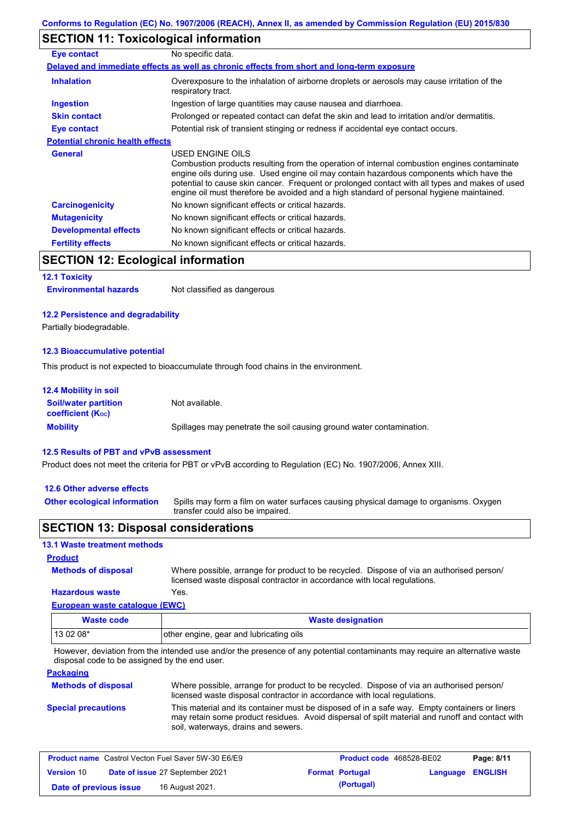# **SECTION 11: Toxicological information**

| Eye contact                             | No specific data.                                                                                                                                                                                                                                                                                                                                                                                        |
|-----------------------------------------|----------------------------------------------------------------------------------------------------------------------------------------------------------------------------------------------------------------------------------------------------------------------------------------------------------------------------------------------------------------------------------------------------------|
|                                         | Delayed and immediate effects as well as chronic effects from short and long-term exposure                                                                                                                                                                                                                                                                                                               |
| <b>Inhalation</b>                       | Overexposure to the inhalation of airborne droplets or aerosols may cause irritation of the<br>respiratory tract.                                                                                                                                                                                                                                                                                        |
| <b>Ingestion</b>                        | Ingestion of large quantities may cause nausea and diarrhoea.                                                                                                                                                                                                                                                                                                                                            |
| <b>Skin contact</b>                     | Prolonged or repeated contact can defat the skin and lead to irritation and/or dermatitis.                                                                                                                                                                                                                                                                                                               |
| Eye contact                             | Potential risk of transient stinging or redness if accidental eye contact occurs.                                                                                                                                                                                                                                                                                                                        |
| <b>Potential chronic health effects</b> |                                                                                                                                                                                                                                                                                                                                                                                                          |
| <b>General</b>                          | USED ENGINE OILS<br>Combustion products resulting from the operation of internal combustion engines contaminate<br>engine oils during use. Used engine oil may contain hazardous components which have the<br>potential to cause skin cancer. Frequent or prolonged contact with all types and makes of used<br>engine oil must therefore be avoided and a high standard of personal hygiene maintained. |
| <b>Carcinogenicity</b>                  | No known significant effects or critical hazards.                                                                                                                                                                                                                                                                                                                                                        |
| <b>Mutagenicity</b>                     | No known significant effects or critical hazards.                                                                                                                                                                                                                                                                                                                                                        |
| <b>Developmental effects</b>            | No known significant effects or critical hazards.                                                                                                                                                                                                                                                                                                                                                        |
| <b>Fertility effects</b>                | No known significant effects or critical hazards.                                                                                                                                                                                                                                                                                                                                                        |

## **SECTION 12: Ecological information**

#### **12.1 Toxicity**

#### **12.2 Persistence and degradability**

Partially biodegradable.

#### **12.3 Bioaccumulative potential**

This product is not expected to bioaccumulate through food chains in the environment.

| <b>12.4 Mobility in soil</b>                                  |                                                                      |
|---------------------------------------------------------------|----------------------------------------------------------------------|
| <b>Soil/water partition</b><br>coefficient (K <sub>oc</sub> ) | Not available.                                                       |
| <b>Mobility</b>                                               | Spillages may penetrate the soil causing ground water contamination. |

#### **12.5 Results of PBT and vPvB assessment**

Product does not meet the criteria for PBT or vPvB according to Regulation (EC) No. 1907/2006, Annex XIII.

#### **12.6 Other adverse effects**

**Other ecological information**

**Methods of disposal**

Spills may form a film on water surfaces causing physical damage to organisms. Oxygen transfer could also be impaired.

#### **SECTION 13: Disposal considerations**

#### **13.1 Waste treatment methods**

#### **Product**

**Hazardous waste** Yes. Where possible, arrange for product to be recycled. Dispose of via an authorised person/ licensed waste disposal contractor in accordance with local regulations.

#### **European waste catalogue (EWC)**

| Waste code | <b>Waste designation</b>                |
|------------|-----------------------------------------|
| 13 02 08*  | other engine, gear and lubricating oils |

However, deviation from the intended use and/or the presence of any potential contaminants may require an alternative waste disposal code to be assigned by the end user.

#### **Packaging**

| <b>Methods of disposal</b> | Where possible, arrange for product to be recycled. Dispose of via an authorised person/<br>licensed waste disposal contractor in accordance with local regulations.                                                                    |
|----------------------------|-----------------------------------------------------------------------------------------------------------------------------------------------------------------------------------------------------------------------------------------|
| <b>Special precautions</b> | This material and its container must be disposed of in a safe way. Empty containers or liners<br>may retain some product residues. Avoid dispersal of spilt material and runoff and contact with<br>soil, waterways, drains and sewers. |

| <b>Product name</b> Castrol Vecton Fuel Saver 5W-30 E6/E9 |  |                                 | Product code 468528-BE02 | Page: 8/11             |                         |  |
|-----------------------------------------------------------|--|---------------------------------|--------------------------|------------------------|-------------------------|--|
| <b>Version 10</b>                                         |  | Date of issue 27 September 2021 |                          | <b>Format Portugal</b> | <b>Language ENGLISH</b> |  |
| Date of previous issue                                    |  | 16 August 2021.                 |                          | (Portugal)             |                         |  |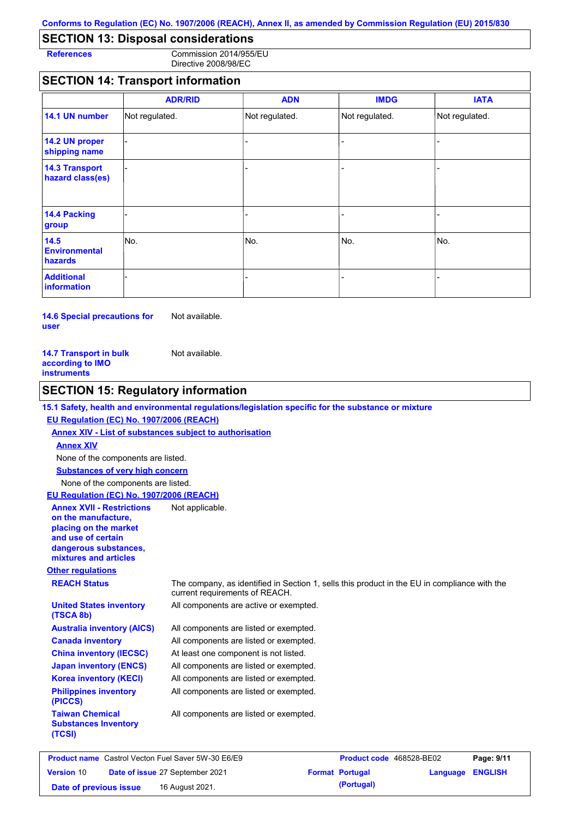# **SECTION 13: Disposal considerations**

**References** Commission 2014/955/EU Directive 2008/98/EC

## **SECTION 14: Transport information**

|                                           | <b>ADR/RID</b> | <b>ADN</b>     | <b>IMDG</b>    | <b>IATA</b>    |
|-------------------------------------------|----------------|----------------|----------------|----------------|
| 14.1 UN number                            | Not regulated. | Not regulated. | Not regulated. | Not regulated. |
| 14.2 UN proper<br>shipping name           |                |                |                |                |
| <b>14.3 Transport</b><br>hazard class(es) |                |                | $\overline{a}$ |                |
| 14.4 Packing<br>group                     |                |                | -              |                |
| 14.5<br><b>Environmental</b><br>hazards   | No.            | No.            | No.            | No.            |
| <b>Additional</b><br>information          |                |                |                |                |

**14.6 Special precautions for user** Not available.

| <b>14.7 Transport in bulk</b> | Not available. |
|-------------------------------|----------------|
| according to IMO              |                |
| instruments                   |                |

## **SECTION 15: Regulatory information**

#### **15.1 Safety, health and environmental regulations/legislation specific for the substance or mixture**

#### **EU Regulation (EC) No. 1907/2006 (REACH)**

**Annex XIV - List of substances subject to authorisation Substances of very high concern** None of the components are listed. None of the components are listed. **Annex XIV**

#### **EU Regulation (EC) No. 1907/2006 (REACH)**

| <b>Annex XVII - Restrictions</b><br>on the manufacture.<br>placing on the market<br>and use of certain<br>dangerous substances,<br>mixtures and articles | Not applicable.                                                                                                                |
|----------------------------------------------------------------------------------------------------------------------------------------------------------|--------------------------------------------------------------------------------------------------------------------------------|
| <b>Other regulations</b>                                                                                                                                 |                                                                                                                                |
| <b>REACH Status</b>                                                                                                                                      | The company, as identified in Section 1, sells this product in the EU in compliance with the<br>current requirements of REACH. |
| <b>United States inventory</b><br>(TSCA 8b)                                                                                                              | All components are active or exempted.                                                                                         |
| <b>Australia inventory (AICS)</b>                                                                                                                        | All components are listed or exempted.                                                                                         |
| <b>Canada inventory</b>                                                                                                                                  | All components are listed or exempted.                                                                                         |
| <b>China inventory (IECSC)</b>                                                                                                                           | At least one component is not listed.                                                                                          |
| <b>Japan inventory (ENCS)</b>                                                                                                                            | All components are listed or exempted.                                                                                         |
| <b>Korea inventory (KECI)</b>                                                                                                                            | All components are listed or exempted.                                                                                         |
| <b>Philippines inventory</b><br>(PICCS)                                                                                                                  | All components are listed or exempted.                                                                                         |
| <b>Taiwan Chemical</b><br><b>Substances Inventory</b><br>(TCSI)                                                                                          | All components are listed or exempted.                                                                                         |

| <b>Product name</b> Castrol Vecton Fuel Saver 5W-30 E6/E9 |  |                                 | <b>Product code</b> 468528-BE02 |                        | Page: 9/11              |  |
|-----------------------------------------------------------|--|---------------------------------|---------------------------------|------------------------|-------------------------|--|
| <b>Version 10</b>                                         |  | Date of issue 27 September 2021 |                                 | <b>Format Portugal</b> | <b>Language ENGLISH</b> |  |
| Date of previous issue                                    |  | 16 August 2021.                 |                                 | (Portugal)             |                         |  |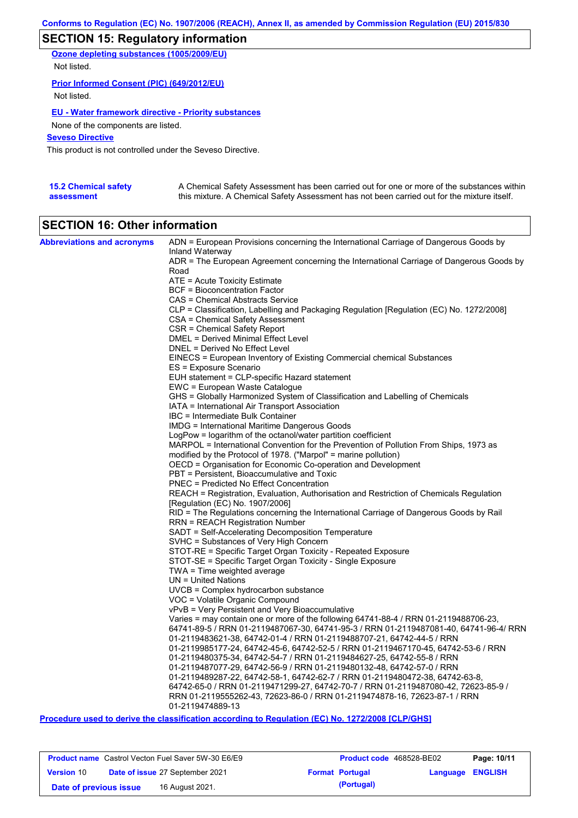# **SECTION 15: Regulatory information**

**Ozone depleting substances (1005/2009/EU)** Not listed.

#### **Prior Informed Consent (PIC) (649/2012/EU)**

Not listed.

#### **EU - Water framework directive - Priority substances**

None of the components are listed.

#### **Seveso Directive**

This product is not controlled under the Seveso Directive.

| <b>15.2 Chemical safety</b> | A Chemical Safety Assessment has been carried out for one or more of the substances within  |
|-----------------------------|---------------------------------------------------------------------------------------------|
| assessment                  | this mixture. A Chemical Safety Assessment has not been carried out for the mixture itself. |

# **SECTION 16: Other information**

| <b>Abbreviations and acronyms</b> | ADN = European Provisions concerning the International Carriage of Dangerous Goods by<br>Inland Waterway        |
|-----------------------------------|-----------------------------------------------------------------------------------------------------------------|
|                                   | ADR = The European Agreement concerning the International Carriage of Dangerous Goods by                        |
|                                   | Road                                                                                                            |
|                                   | ATE = Acute Toxicity Estimate                                                                                   |
|                                   | BCF = Bioconcentration Factor                                                                                   |
|                                   | CAS = Chemical Abstracts Service                                                                                |
|                                   | CLP = Classification, Labelling and Packaging Regulation [Regulation (EC) No. 1272/2008]                        |
|                                   | CSA = Chemical Safety Assessment                                                                                |
|                                   | CSR = Chemical Safety Report                                                                                    |
|                                   | <b>DMEL = Derived Minimal Effect Level</b>                                                                      |
|                                   | DNEL = Derived No Effect Level                                                                                  |
|                                   | EINECS = European Inventory of Existing Commercial chemical Substances                                          |
|                                   | ES = Exposure Scenario                                                                                          |
|                                   | EUH statement = CLP-specific Hazard statement                                                                   |
|                                   | EWC = European Waste Catalogue<br>GHS = Globally Harmonized System of Classification and Labelling of Chemicals |
|                                   | IATA = International Air Transport Association                                                                  |
|                                   | IBC = Intermediate Bulk Container                                                                               |
|                                   | <b>IMDG = International Maritime Dangerous Goods</b>                                                            |
|                                   | LogPow = logarithm of the octanol/water partition coefficient                                                   |
|                                   | MARPOL = International Convention for the Prevention of Pollution From Ships, 1973 as                           |
|                                   | modified by the Protocol of 1978. ("Marpol" = marine pollution)                                                 |
|                                   | OECD = Organisation for Economic Co-operation and Development                                                   |
|                                   | PBT = Persistent, Bioaccumulative and Toxic                                                                     |
|                                   | <b>PNEC = Predicted No Effect Concentration</b>                                                                 |
|                                   | REACH = Registration, Evaluation, Authorisation and Restriction of Chemicals Regulation                         |
|                                   | [Regulation (EC) No. 1907/2006]                                                                                 |
|                                   | RID = The Regulations concerning the International Carriage of Dangerous Goods by Rail                          |
|                                   | <b>RRN = REACH Registration Number</b>                                                                          |
|                                   | SADT = Self-Accelerating Decomposition Temperature                                                              |
|                                   | SVHC = Substances of Very High Concern<br>STOT-RE = Specific Target Organ Toxicity - Repeated Exposure          |
|                                   | STOT-SE = Specific Target Organ Toxicity - Single Exposure                                                      |
|                                   | TWA = Time weighted average                                                                                     |
|                                   | $UN = United Nations$                                                                                           |
|                                   | $UVCB = Complex\;hydrocarbon\; substance$                                                                       |
|                                   | VOC = Volatile Organic Compound                                                                                 |
|                                   | vPvB = Very Persistent and Very Bioaccumulative                                                                 |
|                                   | Varies = may contain one or more of the following 64741-88-4 / RRN 01-2119488706-23,                            |
|                                   | 64741-89-5 / RRN 01-2119487067-30, 64741-95-3 / RRN 01-2119487081-40, 64741-96-4/ RRN                           |
|                                   | 01-2119483621-38, 64742-01-4 / RRN 01-2119488707-21, 64742-44-5 / RRN                                           |
|                                   | 01-2119985177-24, 64742-45-6, 64742-52-5 / RRN 01-2119467170-45, 64742-53-6 / RRN                               |
|                                   | 01-2119480375-34, 64742-54-7 / RRN 01-2119484627-25, 64742-55-8 / RRN                                           |
|                                   | 01-2119487077-29, 64742-56-9 / RRN 01-2119480132-48, 64742-57-0 / RRN                                           |
|                                   | 01-2119489287-22, 64742-58-1, 64742-62-7 / RRN 01-2119480472-38, 64742-63-8,                                    |
|                                   | 64742-65-0 / RRN 01-2119471299-27, 64742-70-7 / RRN 01-2119487080-42, 72623-85-9 /                              |
|                                   | RRN 01-2119555262-43, 72623-86-0 / RRN 01-2119474878-16, 72623-87-1 / RRN<br>01-2119474889-13                   |
|                                   |                                                                                                                 |

**Procedure used to derive the classification according to Regulation (EC) No. 1272/2008 [CLP/GHS]**

| <b>Product name</b> Castrol Vecton Fuel Saver 5W-30 E6/E9 |  |                                        | <b>Product code</b> 468528-BE02 | Page: 10/11            |                         |  |
|-----------------------------------------------------------|--|----------------------------------------|---------------------------------|------------------------|-------------------------|--|
| <b>Version 10</b>                                         |  | <b>Date of issue 27 September 2021</b> |                                 | <b>Format Portugal</b> | <b>Language ENGLISH</b> |  |
| Date of previous issue                                    |  | 16 August 2021.                        |                                 | (Portugal)             |                         |  |